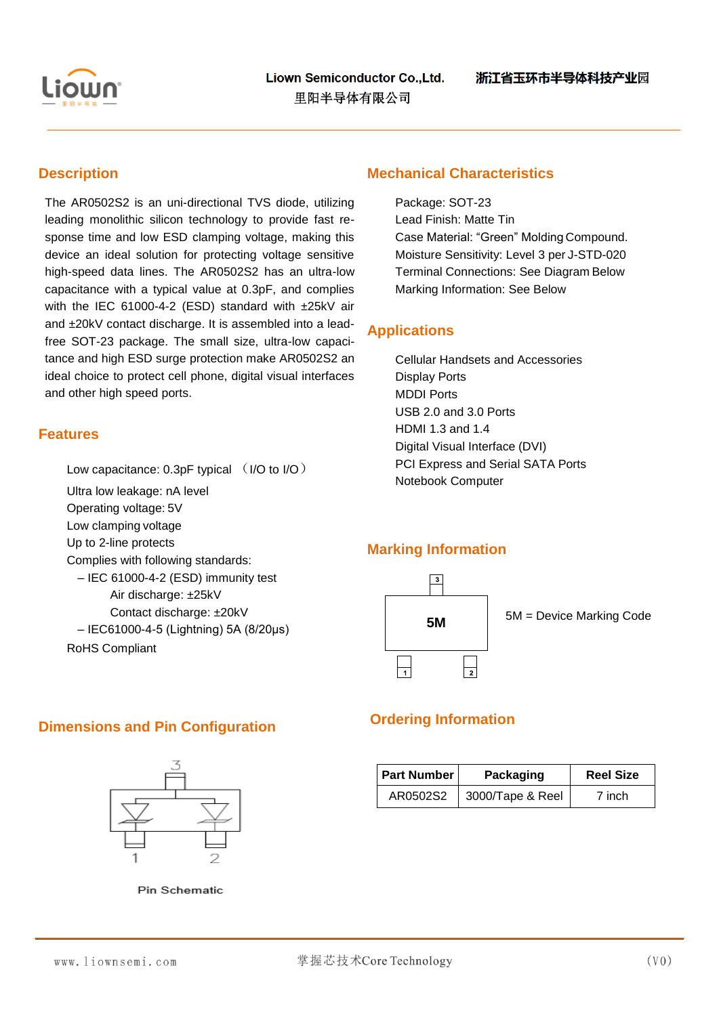

### **Description**

The AR0502S2 is an uni-directional TVS diode, utilizing leading monolithic silicon technology to provide fast response time and low ESD clamping voltage, making this device an ideal solution for protecting voltage sensitive high-speed data lines. The AR0502S2 has an ultra-low capacitance with a typical value at 0.3pF, and complies with the IEC 61000-4-2 (ESD) standard with ±25kV air and ±20kV contact discharge. It is assembled into a leadfree SOT-23 package. The small size, ultra-low capacitance and high ESD surge protection make AR0502S2 an ideal choice to protect cell phone, digital visual interfaces and other high speed ports.

## **Features**

Low capacitance: 0.3pF typical (I/O to I/O)

Ultra low leakage: nA level

Operating voltage: 5V

Low clamping voltage

Up to 2-line protects

Complies with following standards:

– IEC 61000-4-2 (ESD) immunity test

Air discharge: ±25kV

Contact discharge: ±20kV

– IEC61000-4-5 (Lightning) 5A (8/20μs) RoHS Compliant

### **Mechanical Characteristics**

Package: SOT-23 Lead Finish: Matte Tin Case Material: "Green" Molding Compound. Moisture Sensitivity: Level 3 per J-STD-020 Terminal Connections: See Diagram Below Marking Information: See Below

## **Applications**

Cellular Handsets and Accessories Display Ports MDDI Ports USB 2.0 and 3.0 Ports HDMI 1.3 and 1.4 Digital Visual Interface (DVI) PCI Express and Serial SATA Ports Notebook Computer

### **Marking Information**



# **Dimensions and Pin Configuration <b>Configuration Ordering Information**



Pin Schematic

| <b>Part Number</b> | Packaging        | <b>Reel Size</b> |  |
|--------------------|------------------|------------------|--|
| AR0502S2           | 3000/Tape & Reel | 7 inch           |  |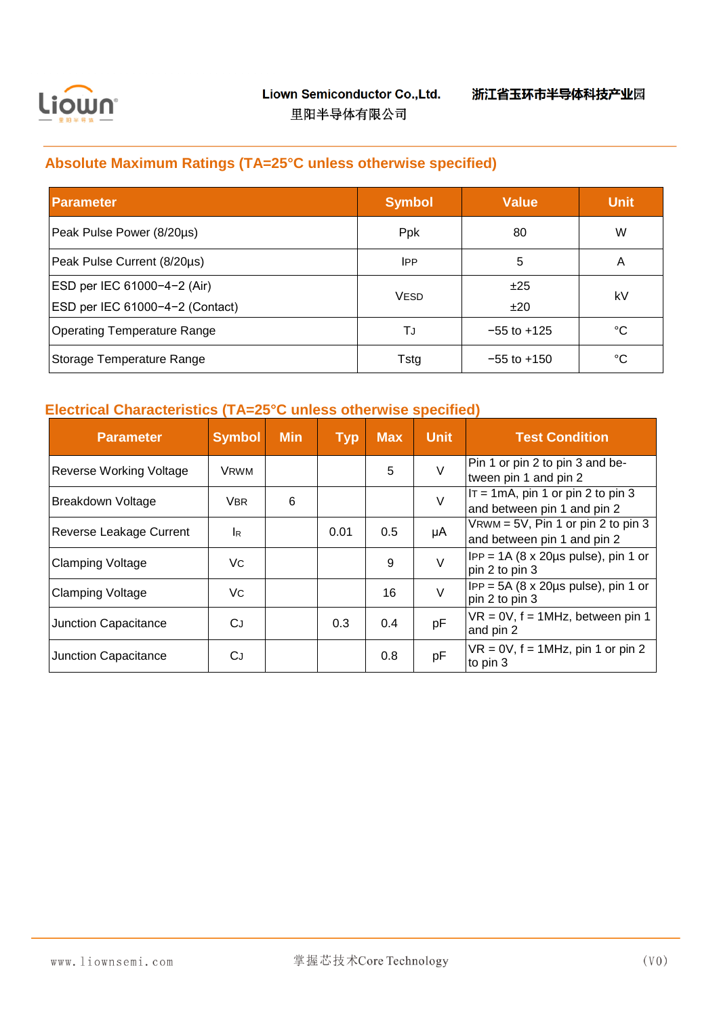

# **Absolute Maximum Ratings (TA=25°C unless otherwise specified)**

| <b>Parameter</b>                   | <b>Symbol</b> | Value           | <b>Unit</b> |
|------------------------------------|---------------|-----------------|-------------|
| Peak Pulse Power (8/20µs)          | Ppk           | 80              | W           |
| Peak Pulse Current (8/20µs)        | <b>IPP</b>    | 5               | A           |
| ESD per IEC 61000-4-2 (Air)        |               | ±25             | kV          |
| ESD per IEC 61000-4-2 (Contact)    | <b>VESD</b>   | ±20             |             |
| <b>Operating Temperature Range</b> | TJ            | $-55$ to $+125$ | °C          |
| Storage Temperature Range          | Tstg          | $-55$ to $+150$ | °C          |

# **Electrical Characteristics (TA=25°C unless otherwise specified)**

| <b>Parameter</b>        | <b>Symbol</b> | <b>Min</b> | <b>Typ</b> | <b>Max</b> | <b>Unit</b> | <b>Test Condition</b>                                                     |
|-------------------------|---------------|------------|------------|------------|-------------|---------------------------------------------------------------------------|
| Reverse Working Voltage | <b>VRWM</b>   |            |            | 5          | V           | Pin 1 or pin 2 to pin 3 and be-<br>tween pin 1 and pin 2                  |
| Breakdown Voltage       | VBR.          | 6          |            |            | $\vee$      | $IT = 1mA$ , pin 1 or pin 2 to pin 3<br>and between pin 1 and pin 2       |
| Reverse Leakage Current | <b>IR</b>     |            | 0.01       | 0.5        | μA          | $V$ RWM = 5V, Pin 1 or pin 2 to pin 3<br>and between pin 1 and pin 2      |
| <b>Clamping Voltage</b> | Vc            |            |            | 9          | V           | $IPP = 1A (8 \times 20 \mu s \text{ pulse})$ , pin 1 or<br>pin 2 to pin 3 |
| <b>Clamping Voltage</b> | Vc.           |            |            | 16         | V           | $IPP = 5A (8 \times 20 \mu s \text{ pulse})$ , pin 1 or<br>pin 2 to pin 3 |
| Junction Capacitance    | CJ.           |            | 0.3        | 0.4        | pF          | $VR = 0V$ , $f = 1MHz$ , between pin 1<br>and pin 2                       |
| Junction Capacitance    | СJ            |            |            | 0.8        | pF          | $VR = 0V$ , $f = 1MHz$ , pin 1 or pin 2<br>to pin 3                       |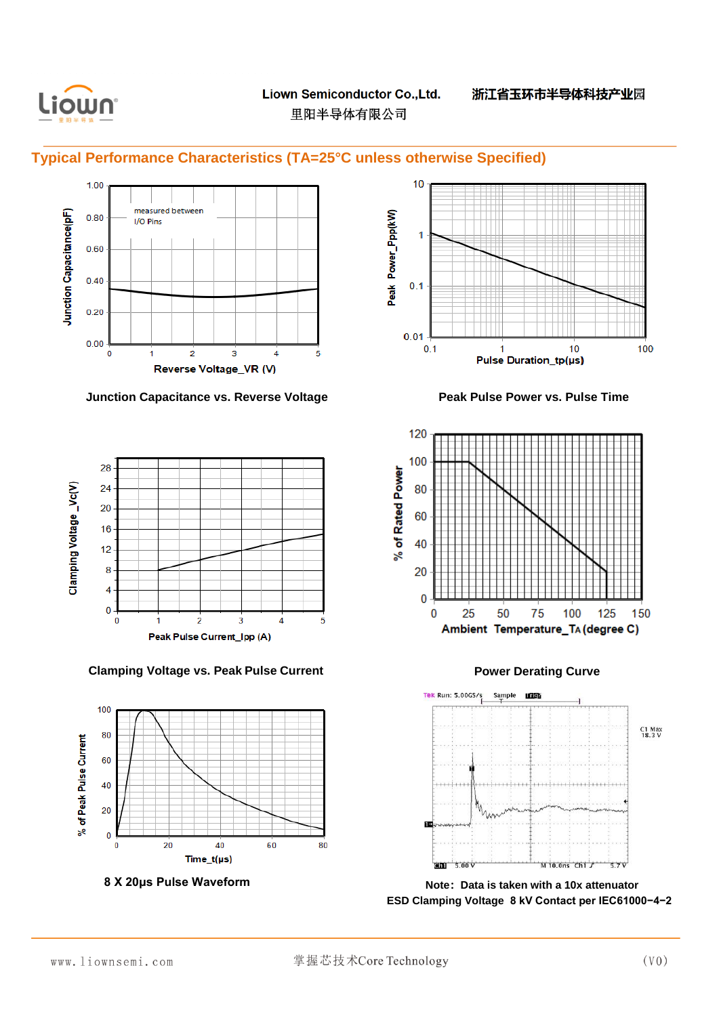

**Typical Performance Characteristics (TA=25°C unless otherwise Specified)**



**Junction Capacitance vs. Reverse Voltage <b>Peak Pulse Power vs. Pulse Time** 



**Clamping Voltage vs. Peak Pulse Current Power Derating Curve**







Tek Run: 5.00GS/s Sample **LEGS** C1 Max<br>18.3 V .<br>GM  $5.00V$  $M$  10.0ns  $Ch1$   $J$  $57V$ 

**8 X 20μs Pulse Waveform Note:Data is taken with a 10x attenuator ESD Clamping Voltage 8 kV Contact per IEC61000−4−2**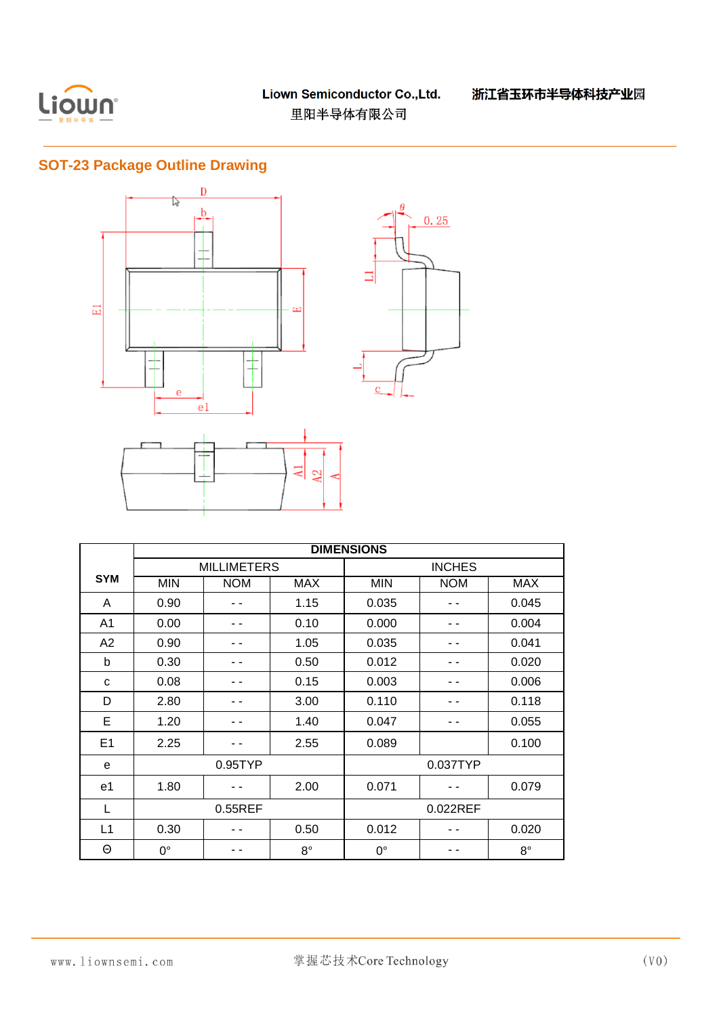

# **SOT-23 Package Outline Drawing**



|                | <b>DIMENSIONS</b> |                    |             |             |               |             |  |
|----------------|-------------------|--------------------|-------------|-------------|---------------|-------------|--|
|                |                   | <b>MILLIMETERS</b> |             |             | <b>INCHES</b> |             |  |
| <b>SYM</b>     | <b>MIN</b>        | <b>NOM</b>         | <b>MAX</b>  | <b>MIN</b>  | <b>NOM</b>    | <b>MAX</b>  |  |
| A              | 0.90              |                    | 1.15        | 0.035       |               | 0.045       |  |
| A <sub>1</sub> | 0.00              |                    | 0.10        | 0.000       |               | 0.004       |  |
| A2             | 0.90              |                    | 1.05        | 0.035       |               | 0.041       |  |
| b              | 0.30              |                    | 0.50        | 0.012       |               | 0.020       |  |
| C              | 0.08              |                    | 0.15        | 0.003       |               | 0.006       |  |
| D              | 2.80              |                    | 3.00        | 0.110       |               | 0.118       |  |
| E              | 1.20              |                    | 1.40        | 0.047       |               | 0.055       |  |
| E <sub>1</sub> | 2.25              |                    | 2.55        | 0.089       |               | 0.100       |  |
| e              | 0.95              |                    |             | 0.037TYP    |               |             |  |
| e1             | 1.80              |                    | 2.00        | 0.071       |               | 0.079       |  |
| L              | 0.55REF           |                    |             | 0.022REF    |               |             |  |
| L1             | 0.30              |                    | 0.50        | 0.012       |               | 0.020       |  |
| Θ              | $0^{\circ}$       |                    | $8^{\circ}$ | $0^{\circ}$ |               | $8^{\circ}$ |  |